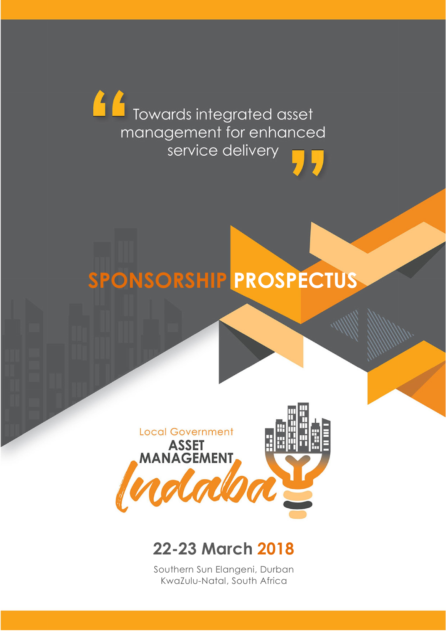Towards integrated asset management for enhanced service delivery

# SPONSORSHIP PROSPECTUS



# 22-23 March 2018

Southern Sun Elangeni, Durban KwaZulu-Natal, South Africa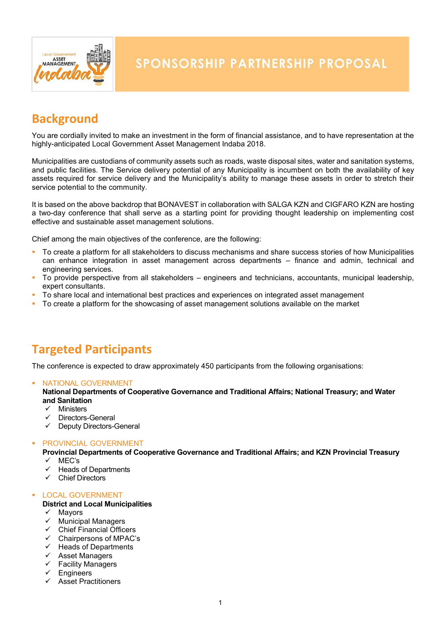

# **Background**

You are cordially invited to make an investment in the form of financial assistance, and to have representation at the highly-anticipated Local Government Asset Management Indaba 2018.

Municipalities are custodians of community assets such as roads, waste disposal sites, water and sanitation systems, and public facilities. The Service delivery potential of any Municipality is incumbent on both the availability of key assets required for service delivery and the Municipality's ability to manage these assets in order to stretch their service potential to the community.

It is based on the above backdrop that BONAVEST in collaboration with SALGA KZN and CIGFARO KZN are hosting a two-day conference that shall serve as a starting point for providing thought leadership on implementing cost effective and sustainable asset management solutions.

Chief among the main objectives of the conference, are the following:

- To create a platform for all stakeholders to discuss mechanisms and share success stories of how Municipalities can enhance integration in asset management across departments – finance and admin, technical and engineering services.
- To provide perspective from all stakeholders engineers and technicians, accountants, municipal leadership, expert consultants.
- To share local and international best practices and experiences on integrated asset management
- To create a platform for the showcasing of asset management solutions available on the market

# Targeted Participants

The conference is expected to draw approximately 450 participants from the following organisations:

#### **NATIONAL GOVERNMENT**

National Departments of Cooperative Governance and Traditional Affairs; National Treasury; and Water and Sanitation

- $\checkmark$  Ministers
- Directors-General
- $\checkmark$  Deputy Directors-General

#### **• PROVINCIAL GOVERNMENT**

Provincial Departments of Cooperative Governance and Traditional Affairs; and KZN Provincial Treasury

- MEC's
- Heads of Departments
- $\checkmark$  Chief Directors

#### LOCAL GOVERNMENT

#### District and Local Municipalities

- $\checkmark$  Mayors
- $\checkmark$  Municipal Managers
- $\checkmark$  Chief Financial Officers
- $\checkmark$  Chairpersons of MPAC's
- $\checkmark$  Heads of Departments
- $\checkmark$  Asset Managers
- $\checkmark$  Facility Managers
- Engineers
- $\checkmark$  Asset Practitioners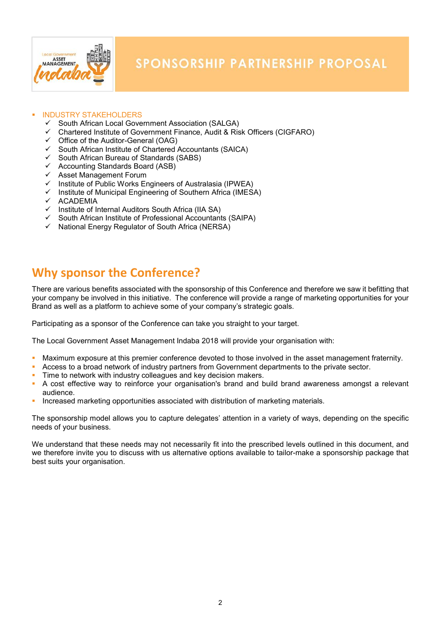

#### INDUSTRY STAKEHOLDERS

- South African Local Government Association (SALGA)
- $\checkmark$  Chartered Institute of Government Finance, Audit & Risk Officers (CIGFARO)
- $\checkmark$  Office of the Auditor-General (OAG)<br> $\checkmark$  South African Institute of Chartered
- South African Institute of Chartered Accountants (SAICA)
- $\checkmark$  South African Bureau of Standards (SABS)
- $\checkmark$  Accounting Standards Board (ASB)
- $\checkmark$  Asset Management Forum<br> $\checkmark$  Institute of Public Works Fr
- Institute of Public Works Engineers of Australasia (IPWEA)
- Institute of Municipal Engineering of Southern Africa (IMESA)
- $\times$  ACADEMIA
- $\checkmark$  Institute of Internal Auditors South Africa (IIA SA)
- $\checkmark$  South African Institute of Professional Accountants (SAIPA)
- V South African Incurate of Network Africa (NERSA)

## Why sponsor the Conference?

There are various benefits associated with the sponsorship of this Conference and therefore we saw it befitting that your company be involved in this initiative. The conference will provide a range of marketing opportunities for your Brand as well as a platform to achieve some of your company's strategic goals.

Participating as a sponsor of the Conference can take you straight to your target.

The Local Government Asset Management Indaba 2018 will provide your organisation with:

- Maximum exposure at this premier conference devoted to those involved in the asset management fraternity.
- Access to a broad network of industry partners from Government departments to the private sector.
- **Time to network with industry colleagues and key decision makers.**
- A cost effective way to reinforce your organisation's brand and build brand awareness amongst a relevant audience.
- **Increased marketing opportunities associated with distribution of marketing materials.**

The sponsorship model allows you to capture delegates' attention in a variety of ways, depending on the specific needs of your business.

We understand that these needs may not necessarily fit into the prescribed levels outlined in this document, and we therefore invite you to discuss with us alternative options available to tailor-make a sponsorship package that best suits your organisation.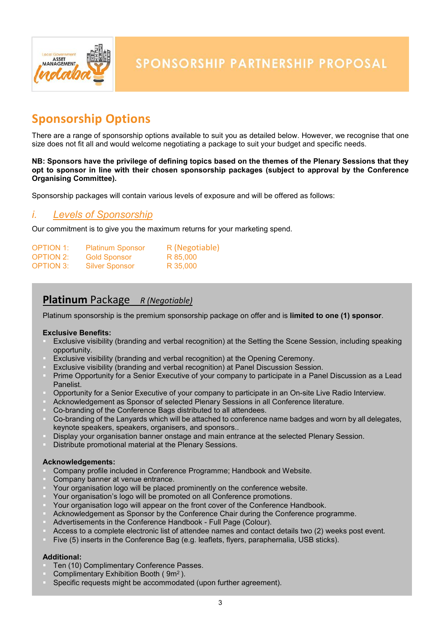

# Sponsorship Options

There are a range of sponsorship options available to suit you as detailed below. However, we recognise that one size does not fit all and would welcome negotiating a package to suit your budget and specific needs.

#### NB: Sponsors have the privilege of defining topics based on the themes of the Plenary Sessions that they opt to sponsor in line with their chosen sponsorship packages (subject to approval by the Conference Organising Committee).

Sponsorship packages will contain various levels of exposure and will be offered as follows:

### *i. Levels of Sponsorship*

Our commitment is to give you the maximum returns for your marketing spend.

| <b>OPTION 1:</b> | <b>Platinum Sponsor</b> | R (Negotiable) |
|------------------|-------------------------|----------------|
| <b>OPTION 2:</b> | <b>Gold Sponsor</b>     | R 85,000       |
| <b>OPTION 3:</b> | <b>Silver Sponsor</b>   | R 35,000       |

## Platinum Package *R (Negotiable)*

Platinum sponsorship is the premium sponsorship package on offer and is limited to one (1) sponsor.

#### Exclusive Benefits:

- Exclusive visibility (branding and verbal recognition) at the Setting the Scene Session, including speaking opportunity.
- Exclusive visibility (branding and verbal recognition) at the Opening Ceremony.
- Exclusive visibility (branding and verbal recognition) at Panel Discussion Session.
- Prime Opportunity for a Senior Executive of your company to participate in a Panel Discussion as a Lead Panelist.
- Opportunity for a Senior Executive of your company to participate in an On-site Live Radio Interview.
- Acknowledgement as Sponsor of selected Plenary Sessions in all Conference literature.
- Co-branding of the Conference Bags distributed to all attendees.
- Co-branding of the Lanyards which will be attached to conference name badges and worn by all delegates, keynote speakers, speakers, organisers, and sponsors..
- Display your organisation banner onstage and main entrance at the selected Plenary Session.
- Distribute promotional material at the Plenary Sessions.

#### Acknowledgements:

- Company profile included in Conference Programme; Handbook and Website.
- Company banner at venue entrance.
- Your organisation logo will be placed prominently on the conference website.
- Your organisation's logo will be promoted on all Conference promotions.
- Your organisation logo will appear on the front cover of the Conference Handbook.
- Acknowledgement as Sponsor by the Conference Chair during the Conference programme.
- Advertisements in the Conference Handbook Full Page (Colour).
- Access to a complete electronic list of attendee names and contact details two (2) weeks post event*.*
- Five (5) inserts in the Conference Bag (e.g. leaflets, flyers, paraphernalia, USB sticks).

#### Additional:

- Ten (10) Complimentary Conference Passes.
- Complimentary Exhibition Booth ( 9m2 ).
- Specific requests might be accommodated (upon further agreement).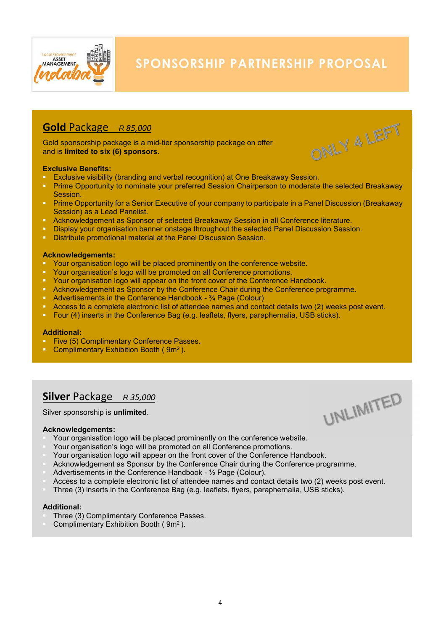

ONLY 4 LEFT

UNLIMITED

## Gold Package *<sup>R</sup> 85,000*

Gold sponsorship package is a mid-tier sponsorship package on offer and is limited to six (6) sponsors.

#### Exclusive Benefits:

- **Exclusive visibility (branding and verbal recognition) at One Breakaway Session.**<br>Prime Opportunity to nominate your preferred Session Chairperson to moderate
- Prime Opportunity to nominate your preferred Session Chairperson to moderate the selected Breakaway Session.
- **Prime Opportunity for a Senior Executive of your company to participate in a Panel Discussion (Breakaway)** Session) as a Lead Panelist.
- Acknowledgement as Sponsor of selected Breakaway Session in all Conference literature.
- **Display your organisation banner onstage throughout the selected Panel Discussion Session.**
- **Distribute promotional material at the Panel Discussion Session.**

#### Acknowledgements:

- Your organisation logo will be placed prominently on the conference website.
- Your organisation's logo will be promoted on all Conference promotions.
- Your organisation logo will appear on the front cover of the Conference Handbook.
- Acknowledgement as Sponsor by the Conference Chair during the Conference programme.
- Advertisements in the Conference Handbook ¾ Page (Colour)
- Access to a complete electronic list of attendee names and contact details two (2) weeks post event*.*
- Four (4) inserts in the Conference Bag (e.g. leaflets, flyers, paraphernalia, USB sticks).

#### Additional:

- Five (5) Complimentary Conference Passes.
- **Complimentary Exhibition Booth (9m<sup>2</sup>).**

## Silver Package *<sup>R</sup> 35,000*

Silver sponsorship is unlimited.

#### Acknowledgements:

- Your organisation logo will be placed prominently on the conference website.
- Your organisation's logo will be promoted on all Conference promotions.
- Your organisation logo will appear on the front cover of the Conference Handbook.
- Acknowledgement as Sponsor by the Conference Chair during the Conference programme.
- Advertisements in the Conference Handbook ½ Page (Colour).
- Access to a complete electronic list of attendee names and contact details two (2) weeks post event*.*
- Three (3) inserts in the Conference Bag (e.g. leaflets, flyers, paraphernalia, USB sticks).

#### Additional:

- Three (3) Complimentary Conference Passes.
- Complimentary Exhibition Booth ( 9m2 ).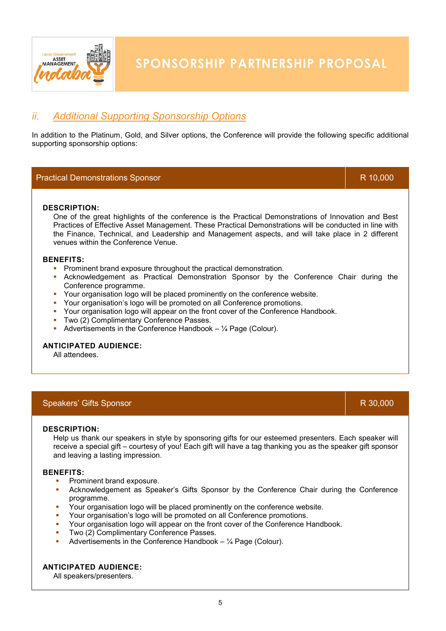

## *ii. Additional Supporting Sponsorship Options*

In addition to the Platinum, Gold, and Silver options, the Conference will provide the following specific additional supporting sponsorship options:

#### Practical Demonstrations Sponsor R 10,000 and R 10,000 and R 10,000 and R 10,000 and R 10,000 and R 10,000 and R 10,000 and R 10,000 and R 10,000 and R 10,000 and R 10,000 and R 10,000 and R 10,000 and R 10,000 and R 10,00

DESCRIPTION:

One of the great highlights of the conference is the Practical Demonstrations of Innovation and Best Practices of Effective Asset Management. These Practical Demonstrations will be conducted in line with the Finance, Technical, and Leadership and Management aspects, and will take place in 2 different venues within the Conference Venue.

#### BENEFITS:

- **Prominent brand exposure throughout the practical demonstration.**
- Acknowledgement as Practical Demonstration Sponsor by the Conference Chair during the Conference programme.
- Your organisation logo will be placed prominently on the conference website.
- Your organisation's logo will be promoted on all Conference promotions.
- Your organisation logo will appear on the front cover of the Conference Handbook.
- **Two (2) Complimentary Conference Passes.**
- Advertisements in the Conference Handbook  $-$  1/4 Page (Colour).

#### ANTICIPATED AUDIENCE:

All attendees.

#### Speakers' Gifts Sponsor R 30,000 and T 30,000 and T 30,000 and T 30,000 and T 30,000 and T 30,000 and T 30,000

#### DESCRIPTION:

Help us thank our speakers in style by sponsoring gifts for our esteemed presenters. Each speaker will receive a special gift – courtesy of you! Each gift will have a tag thanking you as the speaker gift sponsor and leaving a lasting impression.

#### BENEFITS:

- Prominent brand exposure.
- Acknowledgement as Speaker's Gifts Sponsor by the Conference Chair during the Conference programme.
- Your organisation logo will be placed prominently on the conference website.
- Your organisation's logo will be promoted on all Conference promotions.
- Your organisation logo will appear on the front cover of the Conference Handbook.
- Two (2) Complimentary Conference Passes.
- Advertisements in the Conference Handbook  $\frac{1}{4}$  Page (Colour).

#### ANTICIPATED AUDIENCE:

All speakers/presenters.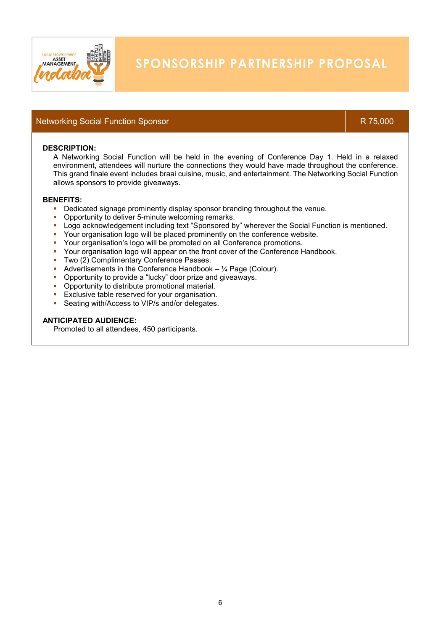

#### Networking Social Function Sponsor R 75,000 R 75,000

#### DESCRIPTION:

A Networking Social Function will be held in the evening of Conference Day 1. Held in a relaxed environment, attendees will nurture the connections they would have made throughout the conference. This grand finale event includes braai cuisine, music, and entertainment. The Networking Social Function allows sponsors to provide giveaways.

#### BENEFITS:

- **•** Dedicated signage prominently display sponsor branding throughout the venue.
- **Opportunity to deliver 5-minute welcoming remarks.**
- Logo acknowledgement including text "Sponsored by" wherever the Social Function is mentioned.
- Your organisation logo will be placed prominently on the conference website.
- Your organisation's logo will be promoted on all Conference promotions.
- Your organisation logo will appear on the front cover of the Conference Handbook.
- **Two (2) Complimentary Conference Passes.**
- Advertisements in the Conference Handbook  $-$  1/4 Page (Colour).
- **•** Opportunity to provide a "lucky" door prize and giveaways.
- **Opportunity to distribute promotional material.**
- **Exclusive table reserved for your organisation.**
- **Seating with/Access to VIP/s and/or delegates.**

#### ANTICIPATED AUDIENCE:

Promoted to all attendees, 450 participants.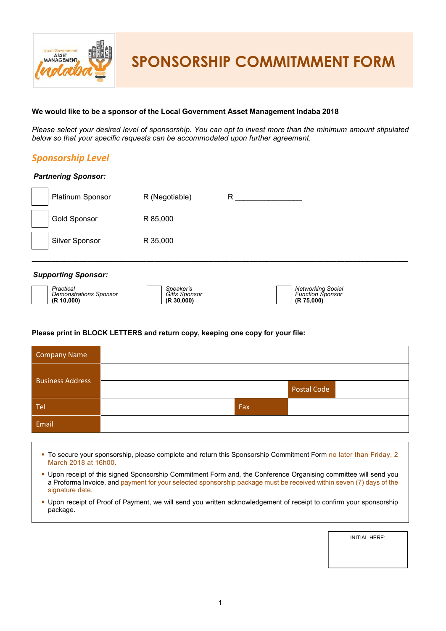

SPONSORSHIP COMMITMMENT FORM

#### We would like to be a sponsor of the Local Government Asset Management Indaba 2018

*Please select your desired level of sponsorship. You can opt to invest more than the minimum amount stipulated below so that your specific requests can be accommodated upon further agreement.*

## *Sponsorship Level Partnering Sponsor:* Platinum Sponsor R (Negotiable) R Gold Sponsor R 85,000 Silver Sponsor R 35,000 \_\_\_\_\_\_\_\_\_\_\_\_\_\_\_\_\_\_\_\_\_\_\_\_\_\_\_\_\_\_\_\_\_\_\_\_\_\_\_\_\_\_\_\_\_\_\_\_\_\_\_\_\_\_\_\_\_\_\_\_\_\_\_\_\_\_\_\_\_\_\_\_\_\_\_\_\_\_\_\_\_\_\_\_\_\_\_\_\_\_\_\_\_\_\_ *Supporting Sponsor: Practical Demonstrations Sponsor* (R 10,000) *Speaker's Gifts Sponsor* (R 30,000) *Networking Social Function Sponsor* (R 75,000)

#### Please print in BLOCK LETTERS and return copy, keeping one copy for your file:

| Company Name            |     |             |
|-------------------------|-----|-------------|
| <b>Business Address</b> |     |             |
|                         |     | Postal Code |
| Tel                     | Fax |             |
| Email                   |     |             |

- To secure your sponsorship, please complete and return this Sponsorship Commitment Form no later than Friday, 2 March 2018 at 16h00.
- Upon receipt of this signed Sponsorship Commitment Form and, the Conference Organising committee will send you a Proforma Invoice, and payment for your selected sponsorship package must be received within seven (7) days of the signature date.
- Upon receipt of Proof of Payment, we will send you written acknowledgement of receipt to confirm your sponsorship package.

INITIAL HERE: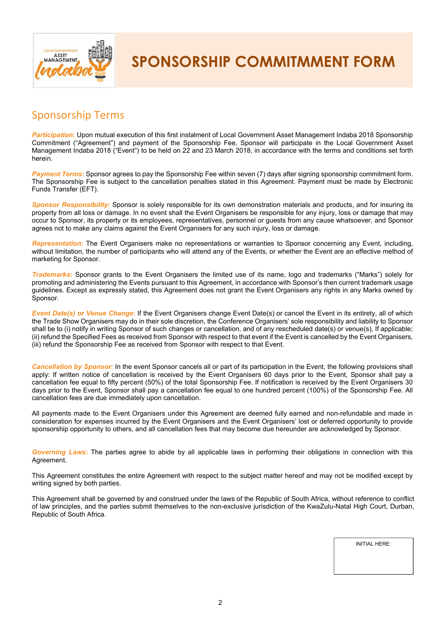

SPONSORSHIP COMMITMMENT FORM

## Sponsorship Terms

*Participation*: Upon mutual execution of this first instalment of Local Government Asset Management Indaba 2018 Sponsorship Commitment ("Agreement") and payment of the Sponsorship Fee, Sponsor will participate in the Local Government Asset Management Indaba 2018 ("Event") to be held on 22 and 23 March 2018, in accordance with the terms and conditions set forth herein.

*Payment Terms*: Sponsor agrees to pay the Sponsorship Fee within seven (7) days after signing sponsorship commitment form. The Sponsorship Fee is subject to the cancellation penalties stated in this Agreement. Payment must be made by Electronic Funds Transfer (EFT).

*Sponsor Responsibility*: Sponsor is solely responsible for its own demonstration materials and products, and for insuring its property from all loss or damage. In no event shall the Event Organisers be responsible for any injury, loss or damage that may occur to Sponsor, its property or its employees, representatives, personnel or guests from any cause whatsoever, and Sponsor agrees not to make any claims against the Event Organisers for any such injury, loss or damage.

*Representation*: The Event Organisers make no representations or warranties to Sponsor concerning any Event, including, without limitation, the number of participants who will attend any of the Events, or whether the Event are an effective method of marketing for Sponsor.

*Trademarks*: Sponsor grants to the Event Organisers the limited use of its name, logo and trademarks ("Marks") solely for promoting and administering the Events pursuant to this Agreement, in accordance with Sponsor's then current trademark usage guidelines. Except as expressly stated, this Agreement does not grant the Event Organisers any rights in any Marks owned by Sponsor.

*Event Date(s) or Venue Change*: If the Event Organisers change Event Date(s) or cancel the Event in its entirety, all of which the Trade Show Organisers may do in their sole discretion, the Conference Organisers' sole responsibility and liability to Sponsor shall be to (i) notify in writing Sponsor of such changes or cancellation, and of any rescheduled date(s) or venue(s), If applicable; (ii) refund the Specified Fees as received from Sponsor with respect to that event if the Event is cancelled by the Event Organisers, (iii) refund the Sponsorship Fee as received from Sponsor with respect to that Event.

*Cancellation by Sponsor*: In the event Sponsor cancels all or part of its participation in the Event, the following provisions shall apply: If written notice of cancellation is received by the Event Organisers 60 days prior to the Event, Sponsor shall pay a cancellation fee equal to fifty percent (50%) of the total Sponsorship Fee. If notification is received by the Event Organisers 30 days prior to the Event, Sponsor shall pay a cancellation fee equal to one hundred percent (100%) of the Sponsorship Fee. All cancellation fees are due immediately upon cancellation.

All payments made to the Event Organisers under this Agreement are deemed fully earned and non-refundable and made in consideration for expenses incurred by the Event Organisers and the Event Organisers' lost or deferred opportunity to provide sponsorship opportunity to others, and all cancellation fees that may become due hereunder are acknowledged by Sponsor.

*Governing Laws*: The parties agree to abide by all applicable laws in performing their obligations in connection with this Agreement.

This Agreement constitutes the entire Agreement with respect to the subject matter hereof and may not be modified except by writing signed by both parties.

This Agreement shall be governed by and construed under the laws of the Republic of South Africa, without reference to conflict of law principles, and the parties submit themselves to the non-exclusive jurisdiction of the KwaZulu-Natal High Court, Durban, Republic of South Africa.

INITIAL HERE: